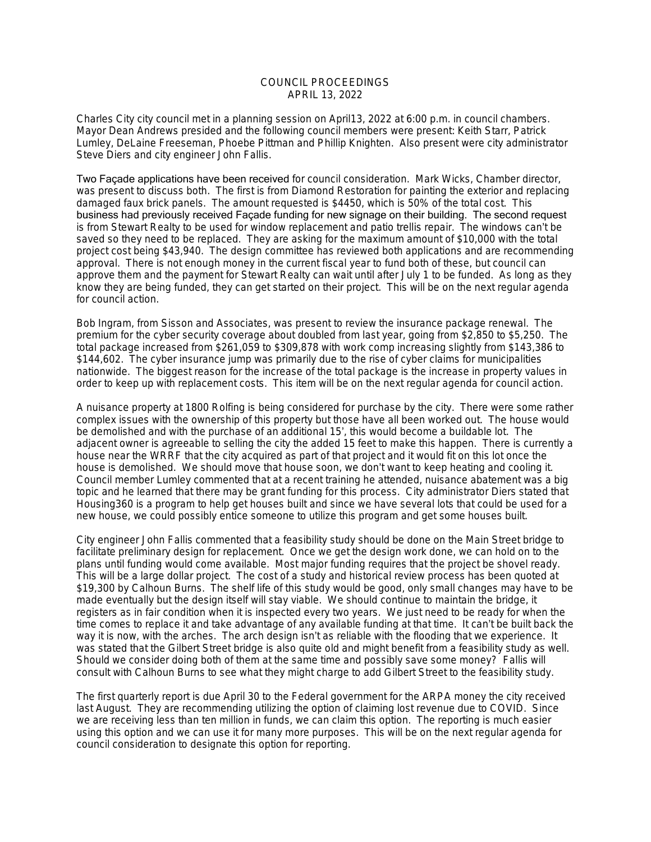## COUNCIL PROCEEDINGS APRIL 13, 2022

Charles City city council met in a planning session on April13, 2022 at 6:00 p.m. in council chambers. Mayor Dean Andrews presided and the following council members were present: Keith Starr, Patrick Lumley, DeLaine Freeseman, Phoebe Pittman and Phillip Knighten. Also present were city administrator Steve Diers and city engineer John Fallis.

Two Façade applications have been received for council consideration. Mark Wicks, Chamber director, was present to discuss both. The first is from Diamond Restoration for painting the exterior and replacing damaged faux brick panels. The amount requested is \$4450, which is 50% of the total cost. This business had previously received Façade funding for new signage on their building. The second request is from Stewart Realty to be used for window replacement and patio trellis repair. The windows can't be saved so they need to be replaced. They are asking for the maximum amount of \$10,000 with the total project cost being \$43,940. The design committee has reviewed both applications and are recommending approval. There is not enough money in the current fiscal year to fund both of these, but council can approve them and the payment for Stewart Realty can wait until after July 1 to be funded. As long as they know they are being funded, they can get started on their project. This will be on the next regular agenda for council action.

Bob Ingram, from Sisson and Associates, was present to review the insurance package renewal. The premium for the cyber security coverage about doubled from last year, going from \$2,850 to \$5,250. The total package increased from \$261,059 to \$309,878 with work comp increasing slightly from \$143,386 to \$144,602. The cyber insurance jump was primarily due to the rise of cyber claims for municipalities nationwide. The biggest reason for the increase of the total package is the increase in property values in order to keep up with replacement costs. This item will be on the next regular agenda for council action.

A nuisance property at 1800 Rolfing is being considered for purchase by the city. There were some rather complex issues with the ownership of this property but those have all been worked out. The house would be demolished and with the purchase of an additional 15', this would become a buildable lot. The adjacent owner is agreeable to selling the city the added 15 feet to make this happen. There is currently a house near the WRRF that the city acquired as part of that project and it would fit on this lot once the house is demolished. We should move that house soon, we don't want to keep heating and cooling it. Council member Lumley commented that at a recent training he attended, nuisance abatement was a big topic and he learned that there may be grant funding for this process. City administrator Diers stated that Housing360 is a program to help get houses built and since we have several lots that could be used for a new house, we could possibly entice someone to utilize this program and get some houses built.

City engineer John Fallis commented that a feasibility study should be done on the Main Street bridge to facilitate preliminary design for replacement. Once we get the design work done, we can hold on to the plans until funding would come available. Most major funding requires that the project be shovel ready. This will be a large dollar project. The cost of a study and historical review process has been quoted at \$19,300 by Calhoun Burns. The shelf life of this study would be good, only small changes may have to be made eventually but the design itself will stay viable. We should continue to maintain the bridge, it registers as in fair condition when it is inspected every two years. We just need to be ready for when the time comes to replace it and take advantage of any available funding at that time. It can't be built back the way it is now, with the arches. The arch design isn't as reliable with the flooding that we experience. It was stated that the Gilbert Street bridge is also quite old and might benefit from a feasibility study as well. Should we consider doing both of them at the same time and possibly save some money? Fallis will consult with Calhoun Burns to see what they might charge to add Gilbert Street to the feasibility study.

The first quarterly report is due April 30 to the Federal government for the ARPA money the city received last August. They are recommending utilizing the option of claiming lost revenue due to COVID. Since we are receiving less than ten million in funds, we can claim this option. The reporting is much easier using this option and we can use it for many more purposes. This will be on the next regular agenda for council consideration to designate this option for reporting.